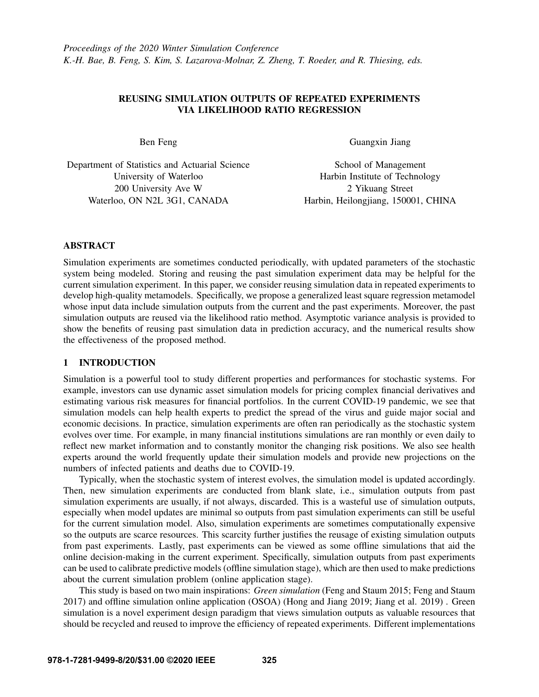# REUSING SIMULATION OUTPUTS OF REPEATED EXPERIMENTS VIA LIKELIHOOD RATIO REGRESSION

Ben Feng

Department of Statistics and Actuarial Science University of Waterloo 200 University Ave W Waterloo, ON N2L 3G1, CANADA

Guangxin Jiang

School of Management Harbin Institute of Technology 2 Yikuang Street Harbin, Heilongjiang, 150001, CHINA

# ABSTRACT

Simulation experiments are sometimes conducted periodically, with updated parameters of the stochastic system being modeled. Storing and reusing the past simulation experiment data may be helpful for the current simulation experiment. In this paper, we consider reusing simulation data in repeated experiments to develop high-quality metamodels. Specifically, we propose a generalized least square regression metamodel whose input data include simulation outputs from the current and the past experiments. Moreover, the past simulation outputs are reused via the likelihood ratio method. Asymptotic variance analysis is provided to show the benefits of reusing past simulation data in prediction accuracy, and the numerical results show the effectiveness of the proposed method.

# 1 INTRODUCTION

Simulation is a powerful tool to study different properties and performances for stochastic systems. For example, investors can use dynamic asset simulation models for pricing complex financial derivatives and estimating various risk measures for financial portfolios. In the current COVID-19 pandemic, we see that simulation models can help health experts to predict the spread of the virus and guide major social and economic decisions. In practice, simulation experiments are often ran periodically as the stochastic system evolves over time. For example, in many financial institutions simulations are ran monthly or even daily to reflect new market information and to constantly monitor the changing risk positions. We also see health experts around the world frequently update their simulation models and provide new projections on the numbers of infected patients and deaths due to COVID-19.

Typically, when the stochastic system of interest evolves, the simulation model is updated accordingly. Then, new simulation experiments are conducted from blank slate, i.e., simulation outputs from past simulation experiments are usually, if not always, discarded. This is a wasteful use of simulation outputs, especially when model updates are minimal so outputs from past simulation experiments can still be useful for the current simulation model. Also, simulation experiments are sometimes computationally expensive so the outputs are scarce resources. This scarcity further justifies the reusage of existing simulation outputs from past experiments. Lastly, past experiments can be viewed as some offline simulations that aid the online decision-making in the current experiment. Specifically, simulation outputs from past experiments can be used to calibrate predictive models (offline simulation stage), which are then used to make predictions about the current simulation problem (online application stage).

This study is based on two main inspirations: *Green simulation* [\(Feng and Staum 2015;](#page-10-0) [Feng and Staum](#page-10-1) [2017\)](#page-10-1) and offline simulation online application (OSOA) [\(Hong and Jiang 2019;](#page-11-0) [Jiang et al. 2019\)](#page-11-1) . Green simulation is a novel experiment design paradigm that views simulation outputs as valuable resources that should be recycled and reused to improve the efficiency of repeated experiments. Different implementations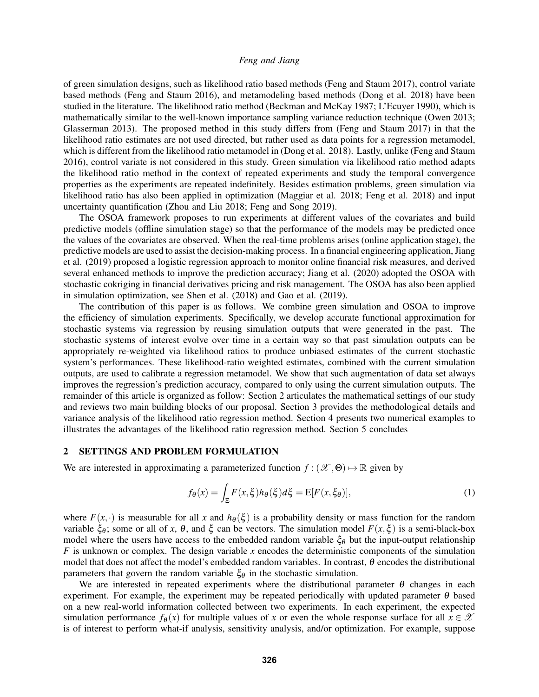of green simulation designs, such as likelihood ratio based methods [\(Feng and Staum 2017\)](#page-10-1), control variate based methods [\(Feng and Staum 2016\)](#page-10-2), and metamodeling based methods [\(Dong et al. 2018\)](#page-10-3) have been studied in the literature. The likelihood ratio method [\(Beckman and McKay 1987;](#page-10-4) [L'Ecuyer 1990\)](#page-11-2), which is mathematically similar to the well-known importance sampling variance reduction technique [\(Owen 2013;](#page-11-3) [Glasserman 2013\)](#page-11-4). The proposed method in this study differs from [\(Feng and Staum 2017\)](#page-10-1) in that the likelihood ratio estimates are not used directed, but rather used as data points for a regression metamodel, which is different from the likelihood ratio metamodel in [\(Dong et al. 2018\)](#page-10-3). Lastly, unlike [\(Feng and Staum](#page-10-2) [2016\)](#page-10-2), control variate is not considered in this study. Green simulation via likelihood ratio method adapts the likelihood ratio method in the context of repeated experiments and study the temporal convergence properties as the experiments are repeated indefinitely. Besides estimation problems, green simulation via likelihood ratio has also been applied in optimization [\(Maggiar et al. 2018;](#page-11-5) [Feng et al. 2018\)](#page-10-5) and input uncertainty quantification [\(Zhou and Liu 2018;](#page-11-6) [Feng and Song 2019\)](#page-10-6).

The OSOA framework proposes to run experiments at different values of the covariates and build predictive models (offline simulation stage) so that the performance of the models may be predicted once the values of the covariates are observed. When the real-time problems arises (online application stage), the predictive models are used to assist the decision-making process. In a financial engineering application,[Jiang](#page-11-1) [et al. \(2019\)](#page-11-1) proposed a logistic regression approach to monitor online financial risk measures, and derived several enhanced methods to improve the prediction accuracy; [Jiang et al. \(2020\)](#page-11-7) adopted the OSOA with stochastic cokriging in financial derivatives pricing and risk management. The OSOA has also been applied in simulation optimization, see [Shen et al. \(2018\)](#page-11-8) and [Gao et al. \(2019\).](#page-10-7)

The contribution of this paper is as follows. We combine green simulation and OSOA to improve the efficiency of simulation experiments. Specifically, we develop accurate functional approximation for stochastic systems via regression by reusing simulation outputs that were generated in the past. The stochastic systems of interest evolve over time in a certain way so that past simulation outputs can be appropriately re-weighted via likelihood ratios to produce unbiased estimates of the current stochastic system's performances. These likelihood-ratio weighted estimates, combined with the current simulation outputs, are used to calibrate a regression metamodel. We show that such augmentation of data set always improves the regression's prediction accuracy, compared to only using the current simulation outputs. The remainder of this article is organized as follow: Section [2](#page-1-0) articulates the mathematical settings of our study and reviews two main building blocks of our proposal. Section [3](#page-4-0) provides the methodological details and variance analysis of the likelihood ratio regression method. Section [4](#page-7-0) presents two numerical examples to illustrates the advantages of the likelihood ratio regression method. Section [5](#page-10-8) concludes

#### <span id="page-1-0"></span>2 SETTINGS AND PROBLEM FORMULATION

We are interested in approximating a parameterized function  $f : (\mathcal{X}, \Theta) \mapsto \mathbb{R}$  given by

<span id="page-1-1"></span>
$$
f_{\theta}(x) = \int_{\Xi} F(x,\xi)h_{\theta}(\xi)d\xi = \mathbb{E}[F(x,\xi_{\theta})],
$$
\n(1)

where  $F(x, \cdot)$  is measurable for all *x* and  $h_{\theta}(\xi)$  is a probability density or mass function for the random variable  $\xi_{\theta}$ ; some or all of *x*, θ, and  $\xi$  can be vectors. The simulation model  $F(x,\xi)$  is a semi-black-box model where the users have access to the embedded random variable  $\xi_{\theta}$  but the input-output relationship *F* is unknown or complex. The design variable *x* encodes the deterministic components of the simulation model that does not affect the model's embedded random variables. In contrast,  $\theta$  encodes the distributional parameters that govern the random variable  $\xi_{\theta}$  in the stochastic simulation.

We are interested in repeated experiments where the distributional parameter  $\theta$  changes in each experiment. For example, the experiment may be repeated periodically with updated parameter  $\theta$  based on a new real-world information collected between two experiments. In each experiment, the expected simulation performance  $f_{\theta}(x)$  for multiple values of *x* or even the whole response surface for all  $x \in \mathcal{X}$ is of interest to perform what-if analysis, sensitivity analysis, and/or optimization. For example, suppose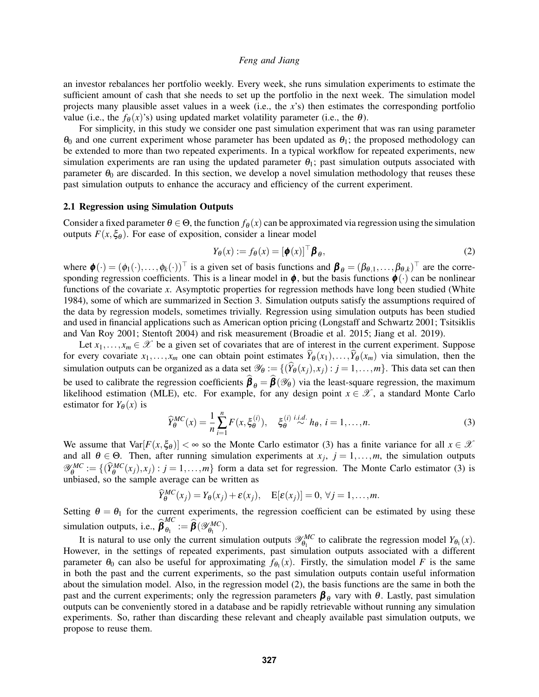an investor rebalances her portfolio weekly. Every week, she runs simulation experiments to estimate the sufficient amount of cash that she needs to set up the portfolio in the next week. The simulation model projects many plausible asset values in a week (i.e., the *x*'s) then estimates the corresponding portfolio value (i.e., the  $f_{\theta}(x)$ 's) using updated market volatility parameter (i.e., the  $\theta$ ).

For simplicity, in this study we consider one past simulation experiment that was ran using parameter  $\theta_0$  and one current experiment whose parameter has been updated as  $\theta_1$ ; the proposed methodology can be extended to more than two repeated experiments. In a typical workflow for repeated experiments, new simulation experiments are ran using the updated parameter  $\theta_1$ ; past simulation outputs associated with parameter  $\theta_0$  are discarded. In this section, we develop a novel simulation methodology that reuses these past simulation outputs to enhance the accuracy and efficiency of the current experiment.

#### 2.1 Regression using Simulation Outputs

Consider a fixed parameter  $\theta \in \Theta$ , the function  $f_{\theta}(x)$  can be approximated via regression using the simulation outputs  $F(x, \xi_{\theta})$ . For ease of exposition, consider a linear model

<span id="page-2-1"></span>
$$
Y_{\theta}(x) := f_{\theta}(x) = [\phi(x)]^{\top} \beta_{\theta}, \qquad (2)
$$

where  $\boldsymbol{\phi}(\cdot) = (\phi_1(\cdot), \dots, \phi_k(\cdot))^{\top}$  is a given set of basis functions and  $\boldsymbol{\beta}_{\theta} = (\beta_{\theta,1}, \dots, \beta_{\theta,k})^{\top}$  are the corresponding regression coefficients. This is a linear model in  $\phi$ , but the basis functions  $\phi(\cdot)$  can be nonlinear functions of the covariate *x*. Asymptotic properties for regression methods have long been studied [\(White](#page-11-9) [1984\)](#page-11-9), some of which are summarized in Section [3.](#page-4-0) Simulation outputs satisfy the assumptions required of the data by regression models, sometimes trivially. Regression using simulation outputs has been studied and used in financial applications such as American option pricing [\(Longstaff and Schwartz 2001;](#page-11-10) [Tsitsiklis](#page-11-11) [and Van Roy 2001;](#page-11-11) [Stentoft 2004\)](#page-11-12) and risk measurement [\(Broadie et al. 2015;](#page-10-9) [Jiang et al. 2019\)](#page-11-1).

Let  $x_1, \ldots, x_m \in \mathcal{X}$  be a given set of covariates that are of interest in the current experiment. Suppose for every covariate  $x_1, \ldots, x_m$  one can obtain point estimates  $\widehat{Y}_{\theta}(x_1), \ldots, \widehat{Y}_{\theta}(x_m)$  via simulation, then the simulation outputs can be organized as a data set  $\mathscr{Y}_{\theta} := \{(\widehat{Y}_{\theta}(x_i), x_i) : j = 1, ..., m\}$ . This data set can then be used to calibrate the regression coefficients  $\beta_{\theta} = \beta(\mathcal{Y}_{\theta})$  via the least-square regression, the maximum likelihood estimation (MLE), etc. For example, for any design point  $x \in \mathcal{X}$ , a standard Monte Carlo estimator for  $Y_{\theta}(x)$  is

<span id="page-2-0"></span>
$$
\widehat{Y}_{\theta}^{MC}(x) = \frac{1}{n} \sum_{i=1}^{n} F(x, \xi_{\theta}^{(i)}), \quad \xi_{\theta}^{(i)} \stackrel{i.i.d.}{\sim} h_{\theta}, i = 1, \dots, n. \tag{3}
$$

We assume that  $Var[F(x,\xi_{\theta})]<\infty$  so the Monte Carlo estimator [\(3\)](#page-2-0) has a finite variance for all  $x\in\mathcal{X}$ and all  $\theta \in \Theta$ . Then, after running simulation experiments at  $x_j$ ,  $j = 1, \ldots, m$ , the simulation outputs  $\mathscr{Y}^{MC}_{\theta}$  $\mathcal{C}_{\theta}^{MC} := \{(\widehat{Y}_{\theta}^{MC}(x_j), x_j) : j = 1, ..., m\}$  form a data set for regression. The Monte Carlo estimator [\(3\)](#page-2-0) is unbiased, so the sample average can be written as

$$
\widehat{Y}_{\theta}^{MC}(x_j) = Y_{\theta}(x_j) + \varepsilon(x_j), \quad \mathbb{E}[\varepsilon(x_j)] = 0, \forall j = 1,\ldots,m.
$$

Setting  $\theta = \theta_1$  for the current experiments, the regression coefficient can be estimated by using these simulation outputs, i.e.,  $\hat{\boldsymbol{\beta}}_{\theta_1}^{MC}$  $\hat{\boldsymbol{\theta}}_{1}^{\textit{MC}}:=\hat{\boldsymbol{\beta}}(\mathscr{Y}_{\theta_1}^{\textit{MC}})$  $\binom{MC}{\theta_1}$ .

It is natural to use only the current simulation outputs  $\mathscr{Y}_{\theta_1}^{MC}$  $\theta_{\theta_1}^{MC}$  to calibrate the regression model  $Y_{\theta_1}(x)$ . However, in the settings of repeated experiments, past simulation outputs associated with a different parameter  $\theta_0$  can also be useful for approximating  $f_{\theta_1}(x)$ . Firstly, the simulation model *F* is the same in both the past and the current experiments, so the past simulation outputs contain useful information about the simulation model. Also, in the regression model [\(2\)](#page-2-1), the basis functions are the same in both the past and the current experiments; only the regression parameters  $\beta_{\theta}$  vary with  $\theta$ . Lastly, past simulation outputs can be conveniently stored in a database and be rapidly retrievable without running any simulation experiments. So, rather than discarding these relevant and cheaply available past simulation outputs, we propose to reuse them.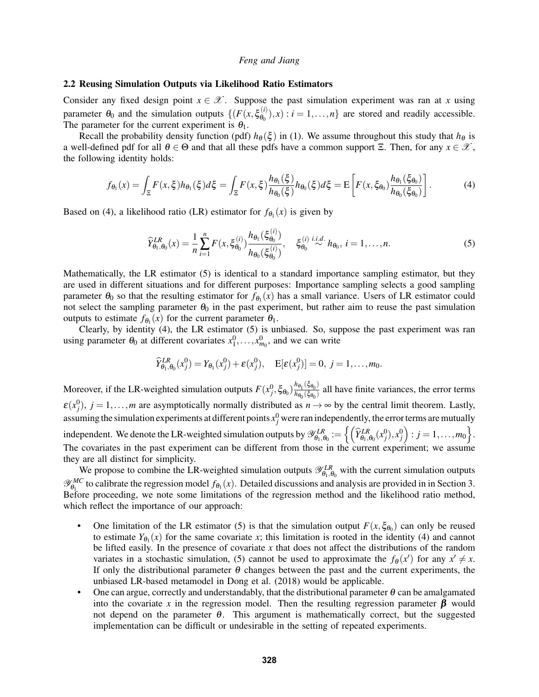### 2.2 Reusing Simulation Outputs via Likelihood Ratio Estimators

Consider any fixed design point  $x \in \mathcal{X}$ . Suppose the past simulation experiment was ran at *x* using parameter  $\theta_0$  and the simulation outputs  $\{ (F(x, \xi_{\theta_0}^{(i)}))$  $\theta_0^{(l)}(n)$ , *x*) : *i* = 1,...,*n*} are stored and readily accessible. The parameter for the current experiment is  $\theta_1$ .

Recall the probability density function (pdf)  $h_{\theta}(\xi)$  in [\(1\)](#page-1-1). We assume throughout this study that  $h_{\theta}$  is a well-defined pdf for all  $\theta \in \Theta$  and that all these pdfs have a common support  $\Xi$ . Then, for any  $x \in \mathcal{X}$ , the following identity holds:

<span id="page-3-0"></span>
$$
f_{\theta_1}(x) = \int_{\Xi} F(x,\xi) h_{\theta_1}(\xi) d\xi = \int_{\Xi} F(x,\xi) \frac{h_{\theta_1}(\xi)}{h_{\theta_0}(\xi)} h_{\theta_0}(\xi) d\xi = \mathbb{E}\left[ F(x,\xi_{\theta_0}) \frac{h_{\theta_1}(\xi_{\theta_0})}{h_{\theta_0}(\xi_{\theta_0})} \right].
$$
 (4)

Based on [\(4\)](#page-3-0), a likelihood ratio (LR) estimator for  $f_{\theta_1}(x)$  is given by

<span id="page-3-1"></span>
$$
\widehat{Y}_{\theta_1, \theta_0}^{LR}(x) = \frac{1}{n} \sum_{i=1}^n F(x, \xi_{\theta_0}^{(i)}) \frac{h_{\theta_1}(\xi_{\theta_0}^{(i)})}{h_{\theta_0}(\xi_{\theta_0}^{(i)})}, \quad \xi_{\theta_0}^{(i)} \stackrel{i.i.d.}{\sim} h_{\theta_0}, i = 1, \dots, n. \tag{5}
$$

Mathematically, the LR estimator [\(5\)](#page-3-1) is identical to a standard importance sampling estimator, but they are used in different situations and for different purposes: Importance sampling selects a good sampling parameter  $\theta_0$  so that the resulting estimator for  $f_{\theta_1}(x)$  has a small variance. Users of LR estimator could not select the sampling parameter  $\theta_0$  in the past experiment, but rather aim to reuse the past simulation outputs to estimate  $f_{\theta_1}(x)$  for the current parameter  $\theta_1$ .

Clearly, by identity [\(4\)](#page-3-0), the LR estimator [\(5\)](#page-3-1) is unbiased. So, suppose the past experiment was ran using parameter  $\theta_0$  at different covariates  $x_1^0, \ldots, x_{m_0}^0$ , and we can write

$$
\widehat{Y}_{\theta_1,\theta_0}^{LR}(x_j^0) = Y_{\theta_1}(x_j^0) + \varepsilon(x_j^0), \quad \mathbb{E}[\varepsilon(x_j^0)] = 0, \ j = 1,\ldots,m_0.
$$

Moreover, if the LR-weighted simulation outputs  $F(x_j^0, \xi_{\theta_0}) \frac{h_{\theta_1}(\xi_{\theta_0})}{h_{\theta_0}(\xi_{\theta_0})}$  $\frac{n_{\theta_1}(5\theta_0)}{n_{\theta_0}(\xi_{\theta_0})}$  all have finite variances, the error terms  $\varepsilon(x_j^0)$ ,  $j = 1, \ldots, m$  are asymptotically normally distributed as  $n \to \infty$  by the central limit theorem. Lastly, assuming the simulation experiments at different points  $x_j^0$  were ran independently, the error terms are mutually independent. We denote the LR-weighted simulation outputs by  $\mathscr{Y}_{\theta_1,\theta_0}^{LR} := \left\{ \left( \widehat{Y}_{\theta_1,\theta_0}^{LR}(x_j^0), x_j^0 \right) : j = 1, \ldots, m_0 \right\}.$ The covariates in the past experiment can be different from those in the current experiment; we assume they are all distinct for simplicity.

We propose to combine the LR-weighted simulation outputs  $\mathscr{Y}_{\theta_1,\theta_0}^{LR}$  with the current simulation outputs  $\mathscr{Y}_{\theta_1}^{MC}$  $\theta_1^{MC}$  to calibrate the regression model  $f_{\theta_1}(x)$ . Detailed discussions and analysis are provided in in Section [3.](#page-4-0) Before proceeding, we note some limitations of the regression method and the likelihood ratio method, which reflect the importance of our approach:

- One limitation of the LR estimator [\(5\)](#page-3-1) is that the simulation output  $F(x, \xi_{\theta_0})$  can only be reused to estimate  $Y_{\theta_1}(x)$  for the same covariate *x*; this limitation is rooted in the identity [\(4\)](#page-3-0) and cannot be lifted easily. In the presence of covariate *x* that does not affect the distributions of the random variates in a stochastic simulation, [\(5\)](#page-3-1) cannot be used to approximate the  $f_{\theta}(x')$  for any  $x' \neq x$ . If only the distributional parameter  $\theta$  changes between the past and the current experiments, the unbiased LR-based metamodel in [Dong et al. \(2018\)](#page-10-3) would be applicable.
- One can argue, correctly and understandably, that the distributional parameter  $\theta$  can be amalgamated into the covariate x in the regression model. Then the resulting regression parameter  $\beta$  would not depend on the parameter  $\theta$ . This argument is mathematically correct, but the suggested implementation can be difficult or undesirable in the setting of repeated experiments.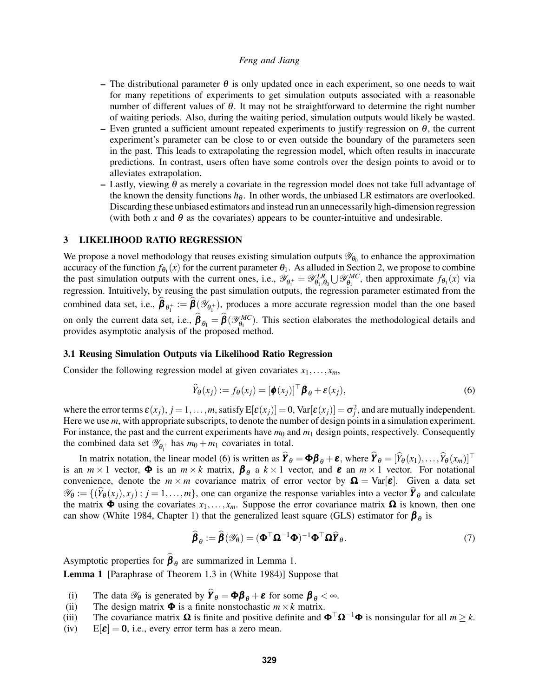- The distributional parameter  $\theta$  is only updated once in each experiment, so one needs to wait for many repetitions of experiments to get simulation outputs associated with a reasonable number of different values of  $\theta$ . It may not be straightforward to determine the right number of waiting periods. Also, during the waiting period, simulation outputs would likely be wasted.
- Even granted a sufficient amount repeated experiments to justify regression on  $\theta$ , the current experiment's parameter can be close to or even outside the boundary of the parameters seen in the past. This leads to extrapolating the regression model, which often results in inaccurate predictions. In contrast, users often have some controls over the design points to avoid or to alleviates extrapolation.
- Lastly, viewing  $\theta$  as merely a covariate in the regression model does not take full advantage of the known the density functions  $h_{\theta}$ . In other words, the unbiased LR estimators are overlooked. Discarding these unbiased estimators and instead run an unnecessarily high-dimension regression (with both x and  $\theta$  as the covariates) appears to be counter-intuitive and undesirable.

## <span id="page-4-0"></span>3 LIKELIHOOD RATIO REGRESSION

We propose a novel methodology that reuses existing simulation outputs  $\mathscr{Y}_{\theta_0}$  to enhance the approximation accuracy of the function  $f_{\theta_1}(x)$  for the current parameter  $\theta_1$ . As alluded in Section [2,](#page-1-0) we propose to combine the past simulation outputs with the current ones, i.e.,  $\mathscr{Y}_{\theta_1^+} = \mathscr{Y}_{\theta_1,\theta_0}^{LR} \cup \mathscr{Y}_{\theta_1}^{MC}$  $\theta_1^{MC}$ , then approximate  $f_{\theta_1}(x)$  via regression. Intuitively, by reusing the past simulation outputs, the regression parameter estimated from the combined data set, i.e.,  $\beta_{\theta_1^+} := \beta(\mathscr{Y}_{\theta_1^+})$ , produces a more accurate regression model than the one based on only the current data set, i.e.,  $\beta_{\theta_1} = \beta (\mathcal{Y}_{\theta_1}^{MC})$  $\theta_{\text{H}}^{MC}$ ). This section elaborates the methodological details and provides asymptotic analysis of the proposed method.

### 3.1 Reusing Simulation Outputs via Likelihood Ratio Regression

Consider the following regression model at given covariates  $x_1, \ldots, x_m$ ,

<span id="page-4-1"></span>
$$
\widehat{Y}_{\theta}(x_j) := f_{\theta}(x_j) = [\phi(x_j)]^{\top} \beta_{\theta} + \varepsilon(x_j),
$$
\n(6)

where the error terms  $\varepsilon(x_j)$ ,  $j = 1, ..., m$ , satisfy  $E[\varepsilon(x_j)] = 0$ ,  $Var[\varepsilon(x_j)] = \sigma_j^2$ , and are mutually independent. Here we use *m*, with appropriate subscripts, to denote the number of design points in a simulation experiment. For instance, the past and the current experiments have  $m_0$  and  $m_1$  design points, respectively. Consequently the combined data set  $\mathscr{Y}_{\theta_1^+}$  has  $m_0 + m_1$  covariates in total.

In matrix notation, the linear model [\(6\)](#page-4-1) is written as  $\hat{\mathbf{Y}}_{\theta} = \boldsymbol{\Phi} \boldsymbol{\beta}_{\theta} + \boldsymbol{\varepsilon}$ , where  $\hat{\mathbf{Y}}_{\theta} = [\hat{Y}_{\theta}(x_1), \dots, \hat{Y}_{\theta}(x_m)]^{\top}$ is an  $m \times 1$  vector,  $\Phi$  is an  $m \times k$  matrix,  $\beta_{\theta}$  a  $k \times 1$  vector, and  $\varepsilon$  an  $m \times 1$  vector. For notational convenience, denote the  $m \times m$  covariance matrix of error vector by  $\Omega = \text{Var}[\boldsymbol{\varepsilon}]$ . Given a data set  $\mathscr{Y}_{\theta} := \{(\widehat{Y}_{\theta}(x_i), x_i) : j = 1, \ldots, m\}$ , one can organize the response variables into a vector  $\widehat{Y}_{\theta}$  and calculate the matrix  $\Phi$  using the covariates  $x_1, \ldots, x_m$ . Suppose the error covariance matrix  $\Omega$  is known, then one can show [\(White 1984,](#page-11-9) Chapter 1) that the generalized least square (GLS) estimator for  $\beta_{\theta}$  is

$$
\widehat{\boldsymbol{\beta}}_{\theta} := \widehat{\boldsymbol{\beta}}(\mathscr{Y}_{\theta}) = (\boldsymbol{\Phi}^{\top} \boldsymbol{\Omega}^{-1} \boldsymbol{\Phi})^{-1} \boldsymbol{\Phi}^{\top} \boldsymbol{\Omega} \widehat{\boldsymbol{Y}}_{\theta}.
$$
\n(7)

Asymptotic properties for  $\beta_{\theta}$  are summarized in Lemma [1.](#page-4-2)

<span id="page-4-2"></span>Lemma 1 [Paraphrase of Theorem 1.3 in [\(White 1984\)](#page-11-9)] Suppose that

- <span id="page-4-3"></span>(i) The data  $\mathscr{Y}_{\theta}$  is generated by  $\hat{\mathbf{Y}}_{\theta} = \mathbf{\Phi}\boldsymbol{\beta}_{\theta} + \boldsymbol{\varepsilon}$  for some  $\boldsymbol{\beta}_{\theta} < \infty$ .<br>(ii) The design matrix  $\boldsymbol{\Phi}$  is a finite nonstochastic  $m \times k$  matrix.
- The design matrix  $\Phi$  is a finite nonstochastic  $m \times k$  matrix.
- <span id="page-4-4"></span>(iii) The covariance matrix  $\Omega$  is finite and positive definite and  $\Phi^{\top} \Omega^{-1} \Phi$  is nonsingular for all  $m \geq k$ .
- <span id="page-4-5"></span>(iv)  $E[\boldsymbol{\varepsilon}] = 0$ , i.e., every error term has a zero mean.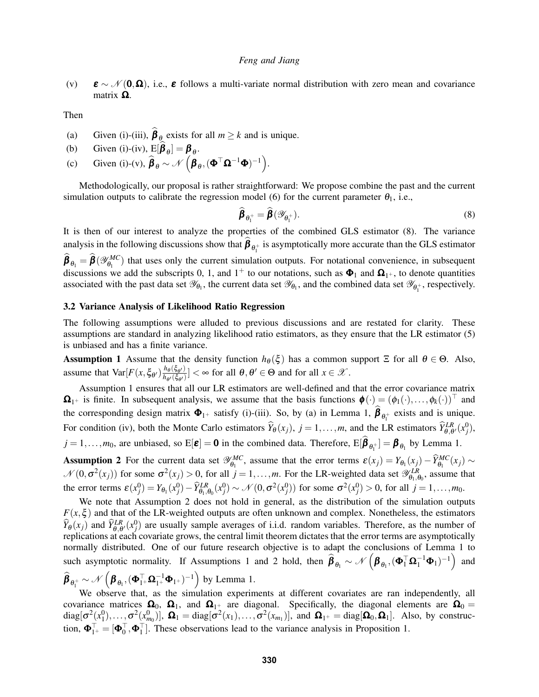<span id="page-5-0"></span>(v)  $\boldsymbol{\varepsilon} \sim \mathcal{N}(\mathbf{0}, \boldsymbol{\Omega})$ , i.e.,  $\boldsymbol{\varepsilon}$  follows a multi-variate normal distribution with zero mean and covariance matrix  $\Omega$ .

Then

- <span id="page-5-3"></span>(a) Given [\(i\)-](#page-4-3)[\(iii\),](#page-4-4)  $\beta_{\theta_{\infty}}$  exists for all  $m \geq k$  and is unique.
- (b) Given [\(i\)-](#page-4-3)[\(iv\),](#page-4-5)  $E[\beta_{\theta}] = \beta_{\theta}$ .
- (c) Given [\(i\)-](#page-4-3)[\(v\),](#page-5-0)  $\hat{\boldsymbol{\beta}}_{\theta} \sim \mathcal{N}\left(\boldsymbol{\beta}_{\theta},(\boldsymbol{\Phi}^{\top} \boldsymbol{\Omega}^{-1} \boldsymbol{\Phi})^{-1}\right)$ .

Methodologically, our proposal is rather straightforward: We propose combine the past and the current simulation outputs to calibrate the regression model [\(6\)](#page-4-1) for the current parameter  $\theta_1$ , i.e.,

<span id="page-5-1"></span>
$$
\widehat{\boldsymbol{\beta}}_{\theta_1^+} = \widehat{\boldsymbol{\beta}}(\mathscr{Y}_{\theta_1^+}).
$$
\n(8)

It is then of our interest to analyze the properties of the combined GLS estimator [\(8\)](#page-5-1). The variance analysis in the following discussions show that  $\beta_{\theta_1^+}$  is asymptotically more accurate than the GLS estimator  $\hat{\boldsymbol{\beta}}_{\theta_1} = \hat{\boldsymbol{\beta}}(\mathscr{Y}_{\theta_1}^{\textit{MC}})$  $\theta_{\theta_1}^{MC}$ ) that uses only the current simulation outputs. For notational convenience, in subsequent discussions we add the subscripts 0, 1, and  $1^+$  to our notations, such as  $\Phi_1$  and  $\Omega_{1^+}$ , to denote quantities associated with the past data set  $\mathscr{Y}_{\theta_1}$ , the current data set  $\mathscr{Y}_{\theta_1}$ , and the combined data set  $\mathscr{Y}_{\theta_1^+}$ , respectively.

#### 3.2 Variance Analysis of Likelihood Ratio Regression

The following assumptions were alluded to previous discussions and are restated for clarity. These assumptions are standard in analyzing likelihood ratio estimators, as they ensure that the LR estimator [\(5\)](#page-3-1) is unbiased and has a finite variance.

<span id="page-5-2"></span>**Assumption 1** Assume that the density function  $h_{\theta}(\xi)$  has a common support  $\Xi$  for all  $\theta \in \Theta$ . Also, assume that  $Var[F(x, \xi_{\theta'}) \frac{h_{\theta}(\xi_{\theta'})}{h_{\theta'}(\xi_{\theta'})}]$  $\frac{h_{\theta}(\xi_{\theta'})}{h_{\theta'}(\xi_{\theta'})}$  <  $\infty$  for all  $\theta, \theta' \in \Theta$  and for all  $x \in \mathscr{X}$ .

Assumption [1](#page-5-2) ensures that all our LR estimators are well-defined and that the error covariance matrix  $\Omega_{1^+}$  is finite. In subsequent analysis, we assume that the basis functions  $\phi(\cdot) = (\phi_1(\cdot), \dots, \phi_k(\cdot))^\top$  and the corresponding design matrix  $\Phi_{1+}$  satisfy [\(i\)](#page-4-3)[-\(iii\).](#page-4-4) So, by [\(a\)](#page-5-3) in Lemma [1,](#page-4-2)  $\beta_{\theta_1^+}$  exists and is unique. For condition [\(iv\),](#page-4-5) both the Monte Carlo estimators  $\widehat{Y}_{\theta}(x_j)$ ,  $j = 1, ..., m$ , and the LR estimators  $\widehat{Y}_{\theta,\theta'}^{LR}(x_j^0)$ ,  $j = 1, \ldots, m_0$ , are unbiased, so  $E[\mathbf{\varepsilon}] = \mathbf{0}$  in the combined data. Therefore,  $E[\mathbf{\beta}_{\theta_1^+}] = \mathbf{\beta}_{\theta_1}$  by Lemma [1.](#page-4-2)

<span id="page-5-4"></span>**Assumption 2** For the current data set  $\mathscr{Y}_{\theta}^{MC}$  $\epsilon_{\theta_1}^{MC}$ , assume that the error terms  $\varepsilon(x_j) = Y_{\theta_1}(x_j) - \widehat{Y}_{\theta_1}^{MC}(x_j) \sim$  $\mathcal{N}(0, \sigma^2(x_j))$  for some  $\sigma^2(x_j) > 0$ , for all  $j = 1, ..., m$ . For the LR-weighted data set  $\mathscr{Y}_{\theta_1, \theta_0}^{LR}$ , assume that the error terms  $\varepsilon(x_j^0) = Y_{\theta_1}(x_j^0) - \widehat{Y}_{\theta_1,\theta_0}^{LR}(x_j^0) \sim \mathcal{N}(0, \sigma^2(x_j^0))$  for some  $\sigma^2(x_j^0) > 0$ , for all  $j = 1, ..., m_0$ .

We note that Assumption [2](#page-5-4) does not hold in general, as the distribution of the simulation outputs  $F(x,\xi)$  and that of the LR-weighted outputs are often unknown and complex. Nonetheless, the estimators  $\hat{Y}_{\theta}(x_j)$  and  $\hat{Y}_{\theta,\theta'}^{LR}(x_j^0)$  are usually sample averages of i.i.d. random variables. Therefore, as the number of replications at each covariate grows, the central limit theorem dictates that the error terms are asymptotically normally distributed. One of our future research objective is to adapt the conclusions of Lemma [1](#page-4-2) to such asymptotic normality. If Assumptions [1](#page-5-2) and [2](#page-5-4) hold, then  $\widehat{\beta}_{\theta_1} \sim \mathcal{N} \left( \beta_{\theta_1}, (\Phi_1^\top \Omega_1^{-1} \Phi_1)^{-1} \right)$ and

$$
\widehat{\boldsymbol{\beta}}_{\boldsymbol{\theta}_1^+} \sim \mathcal{N}\left(\boldsymbol{\beta}_{\boldsymbol{\theta}_1}, (\boldsymbol{\Phi}_{1^+}^\top \boldsymbol{\Omega}_{1^+}^{-1} \boldsymbol{\Phi}_{1^+})^{-1}\right)
$$
 by Lemma 1.

We observe that, as the simulation experiments at different covariates are ran independently, all covariance matrices  $\Omega_0$ ,  $\Omega_1$ , and  $\Omega_1$ + are diagonal. Specifically, the diagonal elements are  $\Omega_0$  =  $diag[\sigma^2(x_1^0),..., \sigma^2(x_{m_0}^0)], \ \mathbf{\Omega}_1 = diag[\sigma^2(x_1),..., \sigma^2(x_{m_1})],$  and  $\mathbf{\Omega}_{1^+} = diag[\mathbf{\Omega}_0, \mathbf{\Omega}_1].$  Also, by construction,  $\mathbf{\Phi}_{1^+}^{\top} = [\mathbf{\Phi}_0^{\top}, \mathbf{\Phi}_1^{\top}]$ . These observations lead to the variance analysis in Proposition [1.](#page-6-0)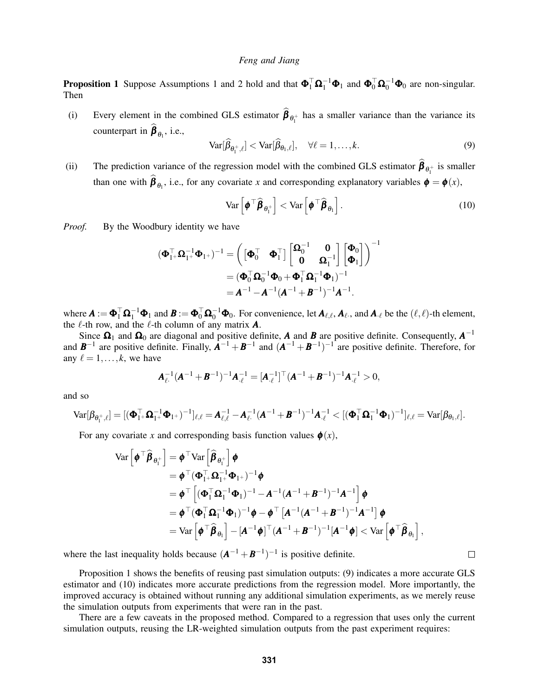<span id="page-6-0"></span>**Proposition [1](#page-5-2)** Suppose Assumptions 1 and [2](#page-5-4) hold and that  $\Phi_1^{\top} \Omega_1^{-1} \Phi_1$  and  $\Phi_0^{\top} \Omega_0^{-1} \Phi_0$  are non-singular. Then

(i) Every element in the combined GLS estimator  $\beta_{\theta_1^+}$  has a smaller variance than the variance its counterpart in  $\boldsymbol{\beta}_{\theta_1}$ , i.e.,

<span id="page-6-1"></span>
$$
\text{Var}[\widehat{\beta}_{\theta_1^+,\ell}] < \text{Var}[\widehat{\beta}_{\theta_1,\ell}], \quad \forall \ell = 1,\ldots,k. \tag{9}
$$

(ii) The prediction variance of the regression model with the combined GLS estimator  $\beta_{\theta_1^+}$  is smaller than one with  $\beta_{\theta_1}$ , i.e., for any covariate *x* and corresponding explanatory variables  $\phi = \phi(x)$ ,

<span id="page-6-2"></span>
$$
\text{Var}\left[\boldsymbol{\phi}^\top \boldsymbol{\widehat{\beta}}_{\boldsymbol{\theta}_1^+}\right] < \text{Var}\left[\boldsymbol{\phi}^\top \boldsymbol{\widehat{\beta}}_{\boldsymbol{\theta}_1}\right].\tag{10}
$$

 $\Box$ 

*Proof.* By the Woodbury identity we have

$$
\begin{aligned} (\boldsymbol{\Phi}_{1^+}^\top \boldsymbol{\Omega}_{1^+}^{-1} \boldsymbol{\Phi}_{1^+})^{-1} &= \begin{pmatrix} \begin{bmatrix} \boldsymbol{\Phi}_0^\top & \boldsymbol{\Phi}_1^\top \end{bmatrix} \begin{bmatrix} \boldsymbol{\Omega}_0^{-1} & \mathbf{0} \\ \mathbf{0} & \boldsymbol{\Omega}_1^{-1} \end{bmatrix} \begin{bmatrix} \boldsymbol{\Phi}_0 \\ \boldsymbol{\Phi}_1 \end{bmatrix} \end{pmatrix}^{-1} \\ &= (\boldsymbol{\Phi}_0^\top \boldsymbol{\Omega}_0^{-1} \boldsymbol{\Phi}_0 + \boldsymbol{\Phi}_1^\top \boldsymbol{\Omega}_1^{-1} \boldsymbol{\Phi}_1)^{-1} \\ &= \boldsymbol{A}^{-1} - \boldsymbol{A}^{-1} (\boldsymbol{A}^{-1} + \boldsymbol{B}^{-1})^{-1} \boldsymbol{A}^{-1}. \end{aligned}
$$

where  $\boldsymbol{A} := \boldsymbol{\Phi}_1^{\top} \boldsymbol{\Omega}_1^{-1} \boldsymbol{\Phi}_1$  and  $\boldsymbol{B} := \boldsymbol{\Phi}_0^{\top} \boldsymbol{\Omega}_0^{-1} \boldsymbol{\Phi}_0$ . For convenience, let  $\boldsymbol{A}_{\ell,\ell}, \boldsymbol{A}_{\ell}$ , and  $\boldsymbol{A}_{\cdot \ell}$  be the  $(\ell,\ell)$ -th element, the  $\ell$ -th row, and the  $\ell$ -th column of any matrix  $\boldsymbol{A}$ .

Since  $\Omega_1$  and  $\Omega_0$  are diagonal and positive definite, *A* and *B* are positive definite. Consequently,  $A^{-1}$ and  $\mathbf{B}^{-1}$  are positive definite. Finally,  $\mathbf{A}^{-1} + \mathbf{B}^{-1}$  and  $(\mathbf{A}^{-1} + \mathbf{B}^{-1})^{-1}$  are positive definite. Therefore, for any  $\ell = 1, \ldots, k$ , we have

$$
\mathbf{A}_{\ell \cdot}^{-1} (\mathbf{A}^{-1} + \mathbf{B}^{-1})^{-1} \mathbf{A}_{\cdot \ell}^{-1} = [\mathbf{A}_{\cdot \ell}^{-1}]^{\top} (\mathbf{A}^{-1} + \mathbf{B}^{-1})^{-1} \mathbf{A}_{\cdot \ell}^{-1} > 0,
$$

and so

$$
\text{Var}[\beta_{\theta_1^+, \ell}] = [(\boldsymbol{\Phi}_{1^+}^\top \boldsymbol{\Omega}_{1^+}^{-1} \boldsymbol{\Phi}_{1^+})^{-1}]_{\ell, \ell} = \boldsymbol{A}_{\ell, \ell}^{-1} - \boldsymbol{A}_{\ell}^{-1} (\boldsymbol{A}^{-1} + \boldsymbol{B}^{-1})^{-1} \boldsymbol{A}_{\cdot \ell}^{-1} < [(\boldsymbol{\Phi}_{1}^\top \boldsymbol{\Omega}_{1}^{-1} \boldsymbol{\Phi}_{1})^{-1}]_{\ell, \ell} = \text{Var}[\beta_{\theta_1, \ell}].
$$

For any covariate *x* and corresponding basis function values  $\phi(x)$ ,

$$
\begin{split} \text{Var}\left[\pmb{\phi}^{\top}\widehat{\pmb{\beta}}_{\theta_{1}^{+}}\right] &= \pmb{\phi}^{\top}\text{Var}\left[\widehat{\pmb{\beta}}_{\theta_{1}^{+}}\right]\pmb{\phi} \\ &= \pmb{\phi}^{\top}(\pmb{\Phi}_{1}^{\top}\pmb{\Omega}_{1}^{-1}\pmb{\Phi}_{1^{+}})^{-1}\pmb{\phi} \\ &= \pmb{\phi}^{\top}\left[(\pmb{\Phi}_{1}^{\top}\pmb{\Omega}_{1}^{-1}\pmb{\Phi}_{1})^{-1}-\pmb{A}^{-1}(\pmb{A}^{-1}+\pmb{B}^{-1})^{-1}\pmb{A}^{-1}\right]\pmb{\phi} \\ &= \pmb{\phi}^{\top}(\pmb{\Phi}_{1}^{\top}\pmb{\Omega}_{1}^{-1}\pmb{\Phi}_{1})^{-1}\pmb{\phi} - \pmb{\phi}^{\top}\left[\pmb{A}^{-1}(\pmb{A}^{-1}+\pmb{B}^{-1})^{-1}\pmb{A}^{-1}\right]\pmb{\phi} \\ &= \text{Var}\left[\pmb{\phi}^{\top}\widehat{\pmb{\beta}}_{\theta_{1}}\right] - [\pmb{A}^{-1}\pmb{\phi}]^{\top}(\pmb{A}^{-1}+\pmb{B}^{-1})^{-1}[\pmb{A}^{-1}\pmb{\phi}] < \text{Var}\left[\pmb{\phi}^{\top}\widehat{\pmb{\beta}}_{\theta_{1}}\right], \end{split}
$$

where the last inequality holds because  $(A^{-1} + B^{-1})^{-1}$  is positive definite.

Proposition [1](#page-6-0) shows the benefits of reusing past simulation outputs: [\(9\)](#page-6-1) indicates a more accurate GLS estimator and [\(10\)](#page-6-2) indicates more accurate predictions from the regression model. More importantly, the improved accuracy is obtained without running any additional simulation experiments, as we merely reuse the simulation outputs from experiments that were ran in the past.

There are a few caveats in the proposed method. Compared to a regression that uses only the current simulation outputs, reusing the LR-weighted simulation outputs from the past experiment requires: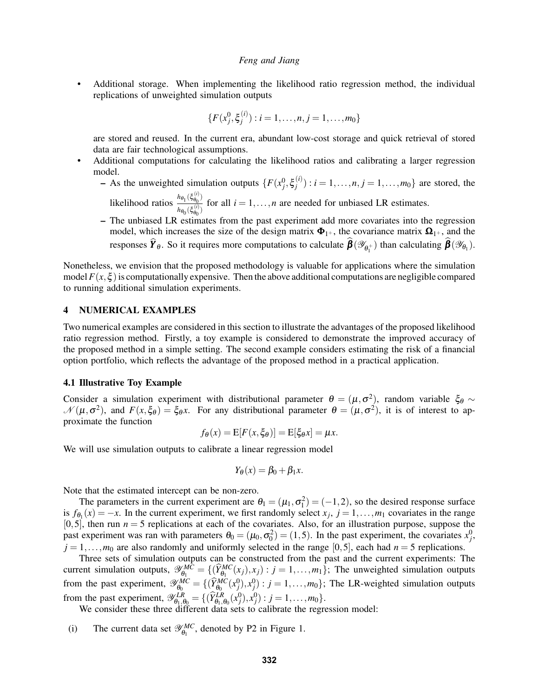• Additional storage. When implementing the likelihood ratio regression method, the individual replications of unweighted simulation outputs

$$
\{F(x_j^0, \xi_j^{(i)}) : i = 1, \dots, n, j = 1, \dots, m_0\}
$$

are stored and reused. In the current era, abundant low-cost storage and quick retrieval of stored data are fair technological assumptions.

- Additional computations for calculating the likelihood ratios and calibrating a larger regression model.
	- $-$  As the unweighted simulation outputs  $\{F(x_j^0, \xi_j^{(i)})\}$  $j_j^{(i)}$ :  $i = 1, ..., n, j = 1, ..., m_0$ } are stored, the

likelihood ratios  $\frac{h_{\theta_1}(\xi_{\theta_0}^{(i)})}{h_{\theta_0}(\xi_{\theta_0}^{(i)})}$  $\frac{d_{\theta_1}(s_{\theta_0})}{h_{\theta_0}(s_{\theta_0}^{(i)})}$  for all  $i = 1, ..., n$  are needed for unbiased LR estimates.

– The unbiased LR estimates from the past experiment add more covariates into the regression model, which increases the size of the design matrix  $\Phi_{1+}$ , the covariance matrix  $\Omega_{1+}$ , and the responses  $Y_\theta$ . So it requires more computations to calculate  $\beta(\mathscr{Y}_{\theta_1^+})$  than calculating  $\beta(\mathscr{Y}_{\theta_1})$ .

Nonetheless, we envision that the proposed methodology is valuable for applications where the simulation model  $F(x, \xi)$  is computationally expensive. Then the above additional computations are negligible compared to running additional simulation experiments.

## <span id="page-7-0"></span>4 NUMERICAL EXAMPLES

Two numerical examples are considered in this section to illustrate the advantages of the proposed likelihood ratio regression method. Firstly, a toy example is considered to demonstrate the improved accuracy of the proposed method in a simple setting. The second example considers estimating the risk of a financial option portfolio, which reflects the advantage of the proposed method in a practical application.

#### 4.1 Illustrative Toy Example

Consider a simulation experiment with distributional parameter  $\theta = (\mu, \sigma^2)$ , random variable  $\xi_{\theta} \sim$  $\mathcal{N}(\mu, \sigma^2)$ , and  $F(x, \xi_{\theta}) = \xi_{\theta}x$ . For any distributional parameter  $\theta = (\mu, \sigma^2)$ , it is of interest to approximate the function

$$
f_{\theta}(x) = \mathbb{E}[F(x,\xi_{\theta})] = \mathbb{E}[\xi_{\theta}x] = \mu x.
$$

We will use simulation outputs to calibrate a linear regression model

$$
Y_{\theta}(x) = \beta_0 + \beta_1 x.
$$

Note that the estimated intercept can be non-zero.

The parameters in the current experiment are  $\theta_1 = (\mu_1, \sigma_1^2) = (-1, 2)$ , so the desired response surface is  $f_{\theta_1}(x) = -x$ . In the current experiment, we first randomly select  $x_j$ ,  $j = 1, ..., m_1$  covariates in the range  $[0,5]$ , then run  $n=5$  replications at each of the covariates. Also, for an illustration purpose, suppose the past experiment was ran with parameters  $\theta_0 = (\mu_0, \sigma_0^2) = (1, 5)$ . In the past experiment, the covariates  $x_j^0$ ,  $j = 1, \ldots, m_0$  are also randomly and uniformly selected in the range [0,5], each had  $n = 5$  replications.

Three sets of simulation outputs can be constructed from the past and the current experiments: The current simulation outputs,  $\mathscr{Y}_{\theta_1}^{MC}$  $\epsilon_{\theta_1}^{MC} = \{(\widehat{Y}_{\theta_1}^{MC}(x_j), x_j) : j = 1, ..., m_1\}$ ; The unweighted simulation outputs from the past experiment,  $\mathscr{Y}_{\theta_0}^{MC}$  $\mathcal{L}_{\theta_0}^{MC} = \{(\hat{Y}_{\theta_0}^{MC}(x_j^0), x_j^0) : j = 1, \ldots, m_0\}$ ; The LR-weighted simulation outputs from the past experiment,  $\mathscr{Y}_{\theta_1, \theta_0}^{LR} = \{(\hat{Y}_{\theta_1, \theta_0}^{LR}(x_j^0), x_j^0) : j = 1, ..., m_0\}.$ 

We consider these three different data sets to calibrate the regression model:

(i) The current data set  $\mathscr{Y}_{\theta_1}^{MC}$  $\theta_1^{MC}$ , denoted by P2 in Figure [1.](#page-8-0)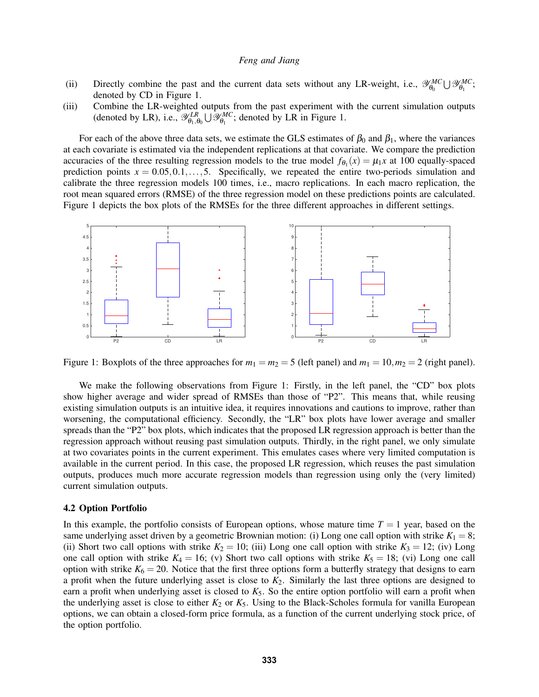- (ii) Directly combine the past and the current data sets without any LR-weight, i.e.,  $\mathscr{Y}_{\theta_0}^{MC}$  $\theta_0^{MC} \bigcup \mathscr{Y}_{\theta_1}^{MC}$  $\begin{array}{c} \n_{\theta_1} \n_{\theta_2}, \n\end{array}$ denoted by CD in Figure [1.](#page-8-0)
- (iii) Combine the LR-weighted outputs from the past experiment with the current simulation outputs (denoted by LR), i.e.,  $\mathscr{Y}_{\theta_1,\theta_0}^{LR} \cup \mathscr{Y}_{\theta_1}^{MC}$  $\theta_1^{MC}$ ; denoted by LR in Figure [1.](#page-8-0)

For each of the above three data sets, we estimate the GLS estimates of  $\beta_0$  and  $\beta_1$ , where the variances at each covariate is estimated via the independent replications at that covariate. We compare the prediction accuracies of the three resulting regression models to the true model  $f_{\theta_1}(x) = \mu_1 x$  at 100 equally-spaced prediction points  $x = 0.05, 0.1, \ldots, 5$ . Specifically, we repeated the entire two-periods simulation and calibrate the three regression models 100 times, i.e., macro replications. In each macro replication, the root mean squared errors (RMSE) of the three regression model on these predictions points are calculated. Figure [1](#page-8-0) depicts the box plots of the RMSEs for the three different approaches in different settings.

<span id="page-8-0"></span>

Figure 1: Boxplots of the three approaches for  $m_1 = m_2 = 5$  (left panel) and  $m_1 = 10, m_2 = 2$  (right panel).

We make the following observations from Figure [1:](#page-8-0) Firstly, in the left panel, the "CD" box plots show higher average and wider spread of RMSEs than those of "P2". This means that, while reusing existing simulation outputs is an intuitive idea, it requires innovations and cautions to improve, rather than worsening, the computational efficiency. Secondly, the "LR" box plots have lower average and smaller spreads than the "P2" box plots, which indicates that the proposed LR regression approach is better than the regression approach without reusing past simulation outputs. Thirdly, in the right panel, we only simulate at two covariates points in the current experiment. This emulates cases where very limited computation is available in the current period. In this case, the proposed LR regression, which reuses the past simulation outputs, produces much more accurate regression models than regression using only the (very limited) current simulation outputs.

#### 4.2 Option Portfolio

In this example, the portfolio consists of European options, whose mature time  $T = 1$  year, based on the same underlying asset driven by a geometric Brownian motion: (i) Long one call option with strike  $K_1 = 8$ ; (ii) Short two call options with strike  $K_2 = 10$ ; (iii) Long one call option with strike  $K_3 = 12$ ; (iv) Long one call option with strike  $K_4 = 16$ ; (v) Short two call options with strike  $K_5 = 18$ ; (vi) Long one call option with strike  $K_6 = 20$ . Notice that the first three options form a butterfly strategy that designs to earn a profit when the future underlying asset is close to *K*2. Similarly the last three options are designed to earn a profit when underlying asset is closed to  $K_5$ . So the entire option portfolio will earn a profit when the underlying asset is close to either  $K_2$  or  $K_5$ . Using to the Black-Scholes formula for vanilla European options, we can obtain a closed-form price formula, as a function of the current underlying stock price, of the option portfolio.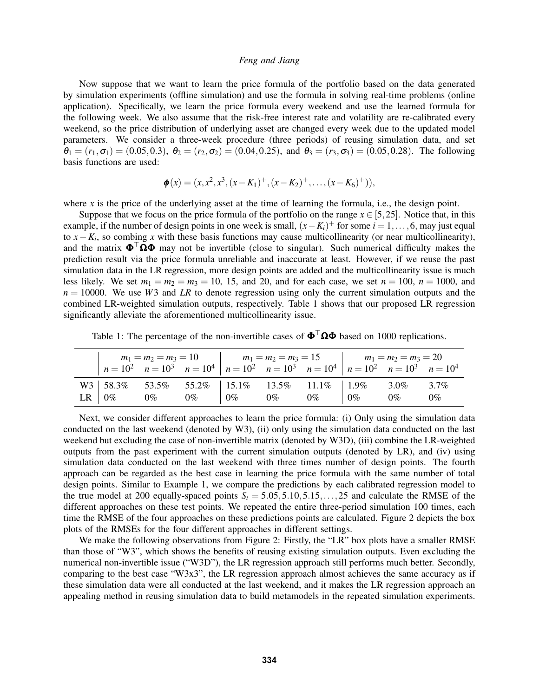Now suppose that we want to learn the price formula of the portfolio based on the data generated by simulation experiments (offline simulation) and use the formula in solving real-time problems (online application). Specifically, we learn the price formula every weekend and use the learned formula for the following week. We also assume that the risk-free interest rate and volatility are re-calibrated every weekend, so the price distribution of underlying asset are changed every week due to the updated model parameters. We consider a three-week procedure (three periods) of reusing simulation data, and set  $\theta_1 = (r_1, \sigma_1) = (0.05, 0.3), \ \theta_2 = (r_2, \sigma_2) = (0.04, 0.25), \text{ and } \theta_3 = (r_3, \sigma_3) = (0.05, 0.28).$  The following basis functions are used:

$$
\boldsymbol{\phi}(x) = (x, x^2, x^3, (x - K_1)^+, (x - K_2)^+, \dots, (x - K_6)^+)),
$$

where  $x$  is the price of the underlying asset at the time of learning the formula, i.e., the design point.

Suppose that we focus on the price formula of the portfolio on the range  $x \in [5,25]$ . Notice that, in this example, if the number of design points in one week is small,  $(x - K_i)^+$  for some  $i = 1, \ldots, 6$ , may just equal to  $x - K_i$ , so combing x with these basis functions may cause multicollinearity (or near multicollinearity), and the matrix  $\Phi^{\top} \Omega \Phi$  may not be invertible (close to singular). Such numerical difficulty makes the prediction result via the price formula unreliable and inaccurate at least. However, if we reuse the past simulation data in the LR regression, more design points are added and the multicollinearity issue is much less likely. We set  $m_1 = m_2 = m_3 = 10, 15,$  and 20, and for each case, we set  $n = 100, n = 1000$ , and  $n = 10000$ . We use *W*3 and *LR* to denote regression using only the current simulation outputs and the combined LR-weighted simulation outputs, respectively. Table [1](#page-9-0) shows that our proposed LR regression significantly alleviate the aforementioned multicollinearity issue.

|               |       |       | $m_1 = m_2 = m_3 = 10$ $m_1 = m_2 = m_3 = 15$ $m_1 = m_2 = m_3 = 20$ |  |                                                                                                    |       |       |         |
|---------------|-------|-------|----------------------------------------------------------------------|--|----------------------------------------------------------------------------------------------------|-------|-------|---------|
|               |       |       |                                                                      |  | $n = 10^2$ $n = 10^3$ $n = 10^4$ $n = 10^2$ $n = 10^3$ $n = 10^4$ $n = 10^2$ $n = 10^3$ $n = 10^4$ |       |       |         |
|               |       |       |                                                                      |  | W3   58.3% 53.5% 55.2%   15.1% 13.5% 11.1%   1.9% 3.0%                                             |       |       | $3.7\%$ |
| $LR \mid 0\%$ | $0\%$ | $0\%$ | $\begin{array}{ccc} 0\% & 0\% \end{array}$                           |  | $0\%$                                                                                              | $0\%$ | $0\%$ | $0\%$   |

<span id="page-9-0"></span>Table 1: The percentage of the non-invertible cases of  $\mathbf{\Phi}^{\top} \mathbf{\Omega} \mathbf{\Phi}$  based on 1000 replications.

Next, we consider different approaches to learn the price formula: (i) Only using the simulation data conducted on the last weekend (denoted by W3), (ii) only using the simulation data conducted on the last weekend but excluding the case of non-invertible matrix (denoted by W3D), (iii) combine the LR-weighted outputs from the past experiment with the current simulation outputs (denoted by LR), and (iv) using simulation data conducted on the last weekend with three times number of design points. The fourth approach can be regarded as the best case in learning the price formula with the same number of total design points. Similar to Example 1, we compare the predictions by each calibrated regression model to the true model at 200 equally-spaced points  $S_t = 5.05, 5.10, 5.15, \ldots, 25$  and calculate the RMSE of the different approaches on these test points. We repeated the entire three-period simulation 100 times, each time the RMSE of the four approaches on these predictions points are calculated. Figure [2](#page-10-10) depicts the box plots of the RMSEs for the four different approaches in different settings.

We make the following observations from Figure [2:](#page-10-10) Firstly, the "LR" box plots have a smaller RMSE than those of "W3", which shows the benefits of reusing existing simulation outputs. Even excluding the numerical non-invertible issue ("W3D"), the LR regression approach still performs much better. Secondly, comparing to the best case "W3x3", the LR regression approach almost achieves the same accuracy as if these simulation data were all conducted at the last weekend, and it makes the LR regression approach an appealing method in reusing simulation data to build metamodels in the repeated simulation experiments.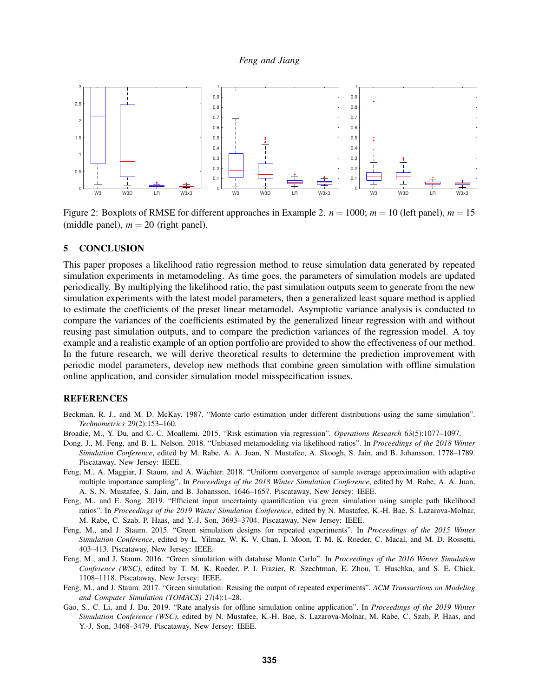<span id="page-10-10"></span>

Figure 2: Boxplots of RMSE for different approaches in Example 2.  $n = 1000$ ;  $m = 10$  (left panel),  $m = 15$ (middle panel),  $m = 20$  (right panel).

#### <span id="page-10-8"></span>5 CONCLUSION

This paper proposes a likelihood ratio regression method to reuse simulation data generated by repeated simulation experiments in metamodeling. As time goes, the parameters of simulation models are updated periodically. By multiplying the likelihood ratio, the past simulation outputs seem to generate from the new simulation experiments with the latest model parameters, then a generalized least square method is applied to estimate the coefficients of the preset linear metamodel. Asymptotic variance analysis is conducted to compare the variances of the coefficients estimated by the generalized linear regression with and without reusing past simulation outputs, and to compare the prediction variances of the regression model. A toy example and a realistic example of an option portfolio are provided to show the effectiveness of our method. In the future research, we will derive theoretical results to determine the prediction improvement with periodic model parameters, develop new methods that combine green simulation with offline simulation online application, and consider simulation model misspecification issues.

## REFERENCES

- <span id="page-10-4"></span>Beckman, R. J., and M. D. McKay. 1987. "Monte carlo estimation under different distributions using the same simulation". *Technometrics* 29(2):153–160.
- <span id="page-10-9"></span>Broadie, M., Y. Du, and C. C. Moallemi. 2015. "Risk estimation via regression". *Operations Research* 63(5):1077–1097.
- <span id="page-10-3"></span>Dong, J., M. Feng, and B. L. Nelson. 2018. "Unbiased metamodeling via likelihood ratios". In *Proceedings of the 2018 Winter Simulation Conference*, edited by M. Rabe, A. A. Juan, N. Mustafee, A. Skoogh, S. Jain, and B. Johansson, 1778–1789. Piscataway, New Jersey: IEEE.
- <span id="page-10-5"></span>Feng, M., A. Maggiar, J. Staum, and A. Wächter. 2018. "Uniform convergence of sample average approximation with adaptive multiple importance sampling". In *Proceedings of the 2018 Winter Simulation Conference*, edited by M. Rabe, A. A. Juan, A. S. N. Mustafee, S. Jain, and B. Johansson, 1646–1657. Piscataway, New Jersey: IEEE.
- <span id="page-10-6"></span>Feng, M., and E. Song. 2019. "Efficient input uncertainty quantification via green simulation using sample path likelihood ratios". In *Proceedings of the 2019 Winter Simulation Conference*, edited by N. Mustafee, K.-H. Bae, S. Lazarova-Molnar, M. Rabe, C. Szab, P. Haas, and Y.-J. Son, 3693–3704. Piscataway, New Jersey: IEEE.
- <span id="page-10-0"></span>Feng, M., and J. Staum. 2015. "Green simulation designs for repeated experiments". In *Proceedings of the 2015 Winter Simulation Conference*, edited by L. Yilmaz, W. K. V. Chan, I. Moon, T. M. K. Roeder, C. Macal, and M. D. Rossetti, 403–413. Piscataway, New Jersey: IEEE.
- <span id="page-10-2"></span>Feng, M., and J. Staum. 2016. "Green simulation with database Monte Carlo". In *Proceedings of the 2016 Winter Simulation Conference (WSC)*, edited by T. M. K. Roeder, P. I. Frazier, R. Szechtman, E. Zhou, T. Huschka, and S. E. Chick, 1108–1118. Piscataway, New Jersey: IEEE.
- <span id="page-10-1"></span>Feng, M., and J. Staum. 2017. "Green simulation: Reusing the output of repeated experiments". *ACM Transactions on Modeling and Computer Simulation (TOMACS)* 27(4):1–28.
- <span id="page-10-7"></span>Gao, S., C. Li, and J. Du. 2019. "Rate analysis for offline simulation online application". In *Proceedings of the 2019 Winter Simulation Conference (WSC)*, edited by N. Mustafee, K.-H. Bae, S. Lazarova-Molnar, M. Rabe, C. Szab, P. Haas, and Y.-J. Son, 3468–3479. Piscataway, New Jersey: IEEE.